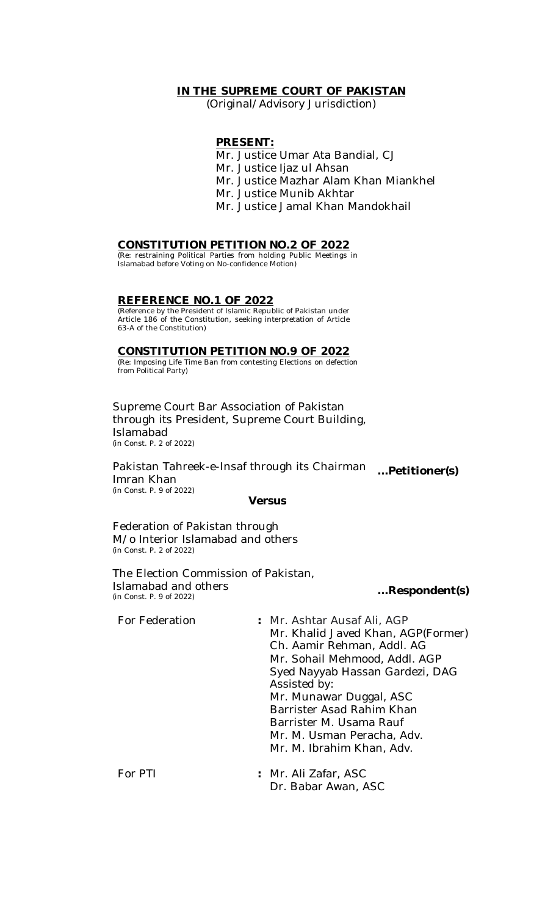## **IN THE SUPREME COURT OF PAKISTAN**

(Original/Advisory Jurisdiction)

## **PRESENT:**

- Mr. Justice Umar Ata Bandial, CJ
- Mr. Justice Ijaz ul Ahsan
- Mr. Justice Mazhar Alam Khan Miankhel
- Mr. Justice Munib Akhtar
- Mr. Justice Jamal Khan Mandokhail

### **CONSTITUTION PETITION NO.2 OF 2022**

(Re: restraining Political Parties from holding Public Meetings in Islamabad before Voting on No-confidence Motion)

# **REFERENCE NO.1 OF 2022**

(Reference by the President of Islamic Republic of Pakistan under Article 186 of the Constitution, seeking interpretation of Article 63-A of the Constitution)

## **CONSTITUTION PETITION NO.9 OF 2022**

(Re: Imposing Life Time Ban from contesting Elections on defection from Political Party)

Supreme Court Bar Association of Pakistan through its President, Supreme Court Building, Islamabad (in Const. P. 2 of 2022)

Pakistan Tahreek-e-Insaf through its Chairman *…***Petitioner(s)** Imran Khan (in Const. P. 9 of 2022)

#### **Versus**

Federation of Pakistan through M/o Interior Islamabad and others (in Const. P. 2 of 2022)

The Election Commission of Pakistan, Islamabad and others<br>(in Const. P. 9 of 2022)

#### (in Const. P. 9 of 2022) *…***Respondent(s)**

| For Federation | : Mr. Ashtar Ausaf Ali, AGP<br>Mr. Khalid Javed Khan, AGP(Former)<br>Ch. Aamir Rehman, Addl. AG<br>Mr. Sohail Mehmood, Addl. AGP<br>Syed Nayyab Hassan Gardezi, DAG<br>Assisted by:<br>Mr. Munawar Duggal, ASC<br>Barrister Asad Rahim Khan<br>Barrister M. Usama Rauf<br>Mr. M. Usman Peracha, Adv.<br>Mr. M. Ibrahim Khan, Adv. |
|----------------|-----------------------------------------------------------------------------------------------------------------------------------------------------------------------------------------------------------------------------------------------------------------------------------------------------------------------------------|
| For PTI        | : Mr. Ali Zafar, ASC                                                                                                                                                                                                                                                                                                              |

Dr. Babar Awan, ASC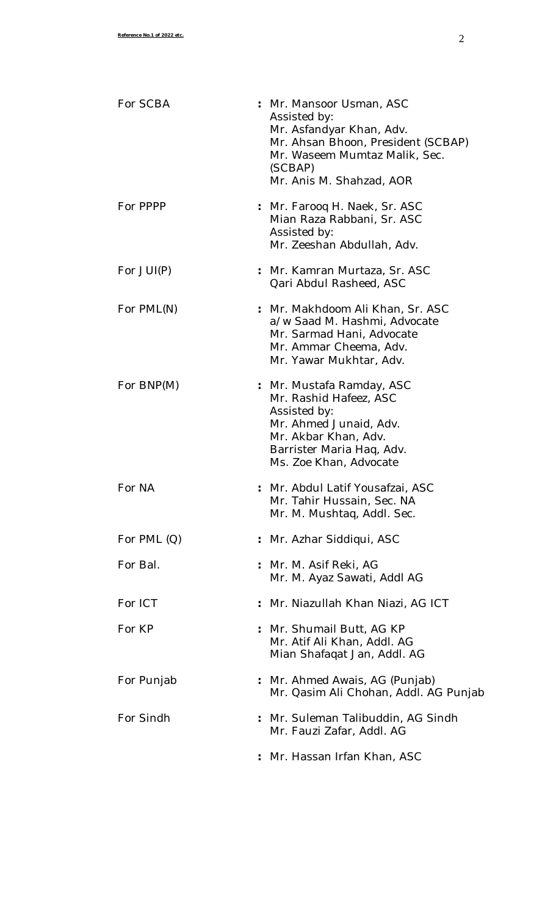| For SCBA      | : Mr. Mansoor Usman, ASC<br>Assisted by:<br>Mr. Asfandyar Khan, Adv.<br>Mr. Ahsan Bhoon, President (SCBAP)<br>Mr. Waseem Mumtaz Malik, Sec.<br>(SCBAP)<br>Mr. Anis M. Shahzad, AOR |
|---------------|------------------------------------------------------------------------------------------------------------------------------------------------------------------------------------|
| For PPPP      | : Mr. Farooq H. Naek, Sr. ASC<br>Mian Raza Rabbani, Sr. ASC<br>Assisted by:<br>Mr. Zeeshan Abdullah, Adv.                                                                          |
| For JUI(P)    | : Mr. Kamran Murtaza, Sr. ASC<br>Qari Abdul Rasheed, ASC                                                                                                                           |
| For PML(N)    | : Mr. Makhdoom Ali Khan, Sr. ASC<br>a/w Saad M. Hashmi, Advocate<br>Mr. Sarmad Hani, Advocate<br>Mr. Ammar Cheema, Adv.<br>Mr. Yawar Mukhtar, Adv.                                 |
| For BNP(M)    | : Mr. Mustafa Ramday, ASC<br>Mr. Rashid Hafeez, ASC<br>Assisted by:<br>Mr. Ahmed Junaid, Adv.<br>Mr. Akbar Khan, Adv.<br>Barrister Maria Haq, Adv.<br>Ms. Zoe Khan, Advocate       |
| For NA        | : Mr. Abdul Latif Yousafzai, ASC<br>Mr. Tahir Hussain, Sec. NA<br>Mr. M. Mushtaq, Addl. Sec.                                                                                       |
| For PML $(Q)$ | : Mr. Azhar Siddiqui, ASC                                                                                                                                                          |
| For Bal.      | : Mr. M. Asif Reki, AG<br>Mr. M. Ayaz Sawati, Addl AG                                                                                                                              |
| For ICT       | : Mr. Niazullah Khan Niazi, AG ICT                                                                                                                                                 |
| For KP        | : Mr. Shumail Butt, AG KP<br>Mr. Atif Ali Khan, Addl. AG<br>Mian Shafaqat Jan, Addl. AG                                                                                            |
| For Punjab    | : Mr. Ahmed Awais, AG (Punjab)<br>Mr. Qasim Ali Chohan, Addl. AG Punjab                                                                                                            |
| For Sindh     | : Mr. Suleman Talibuddin, AG Sindh<br>Mr. Fauzi Zafar, Addl. AG                                                                                                                    |
|               | : Mr. Hassan Irfan Khan, ASC                                                                                                                                                       |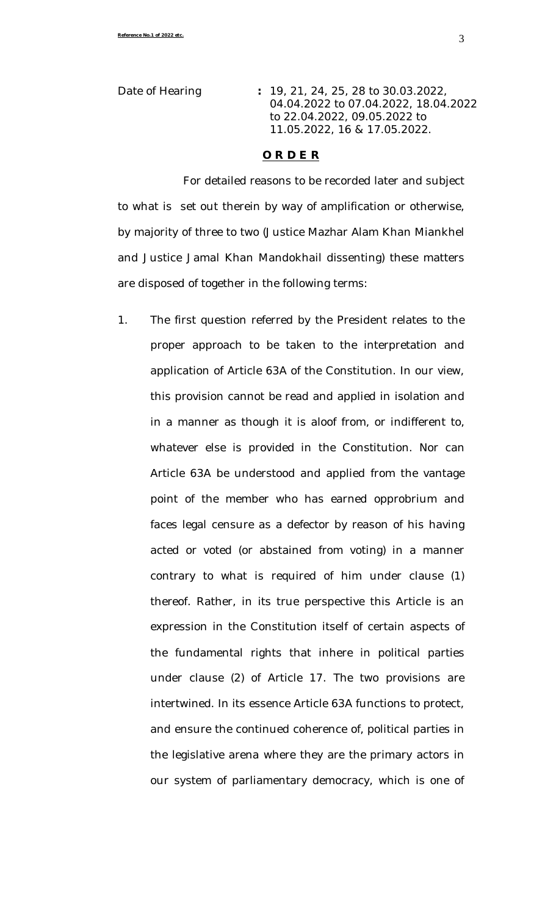Date of Hearing **:** 19, 21, 24, 25, 28 to 30.03.2022, 04.04.2022 to 07.04.2022, 18.04.2022 to 22.04.2022, 09.05.2022 to 11.05.2022, 16 & 17.05.2022.

### **O R D E R**

For detailed reasons to be recorded later and subject to what is set out therein by way of amplification or otherwise, by majority of three to two (Justice Mazhar Alam Khan Miankhel and Justice Jamal Khan Mandokhail dissenting) these matters are disposed of together in the following terms:

1. The first question referred by the President relates to the proper approach to be taken to the interpretation and application of Article 63A of the Constitution. In our view, this provision cannot be read and applied in isolation and in a manner as though it is aloof from, or indifferent to, whatever else is provided in the Constitution. Nor can Article 63A be understood and applied from the vantage point of the member who has earned opprobrium and faces legal censure as a defector by reason of his having acted or voted (or abstained from voting) in a manner contrary to what is required of him under clause (1) thereof. Rather, in its true perspective this Article is an expression in the Constitution itself of certain aspects of the fundamental rights that inhere in political parties under clause (2) of Article 17. The two provisions are intertwined. In its essence Article 63A functions to protect, and ensure the continued coherence of, political parties in the legislative arena where they are the primary actors in our system of parliamentary democracy, which is one of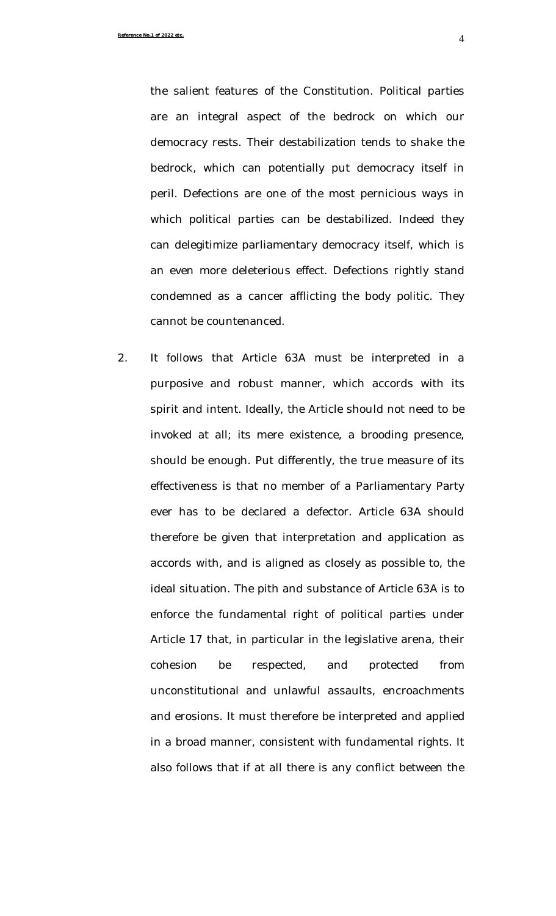**Reference No.1 of 2022 etc.** 4

the salient features of the Constitution. Political parties are an integral aspect of the bedrock on which our democracy rests. Their destabilization tends to shake the bedrock, which can potentially put democracy itself in peril. Defections are one of the most pernicious ways in which political parties can be destabilized. Indeed they can delegitimize parliamentary democracy itself, which is an even more deleterious effect. Defections rightly stand condemned as a cancer afflicting the body politic. They cannot be countenanced.

2. It follows that Article 63A must be interpreted in a purposive and robust manner, which accords with its spirit and intent. Ideally, the Article should not need to be invoked at all; its mere existence, a brooding presence, should be enough. Put differently, the true measure of its effectiveness is that no member of a Parliamentary Party ever has to be declared a defector. Article 63A should therefore be given that interpretation and application as accords with, and is aligned as closely as possible to, the ideal situation. The pith and substance of Article 63A is to enforce the fundamental right of political parties under Article 17 that, in particular in the legislative arena, their cohesion be respected, and protected from unconstitutional and unlawful assaults, encroachments and erosions. It must therefore be interpreted and applied in a broad manner, consistent with fundamental rights. It also follows that if at all there is any conflict between the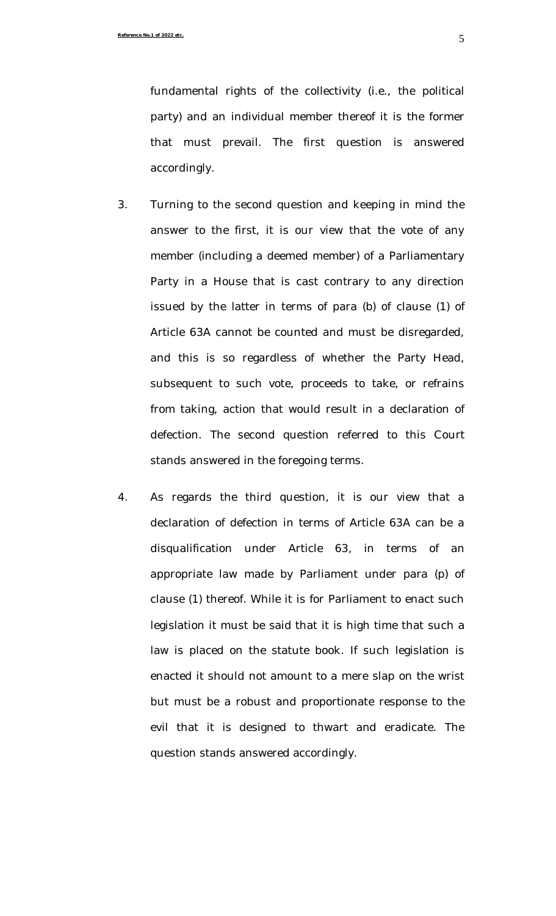fundamental rights of the collectivity (i.e., the political party) and an individual member thereof it is the former that must prevail. The first question is answered accordingly.

- 3. Turning to the second question and keeping in mind the answer to the first, it is our view that the vote of any member (including a deemed member) of a Parliamentary Party in a House that is cast contrary to any direction issued by the latter in terms of para (b) of clause (1) of Article 63A cannot be counted and must be disregarded, and this is so regardless of whether the Party Head, subsequent to such vote, proceeds to take, or refrains from taking, action that would result in a declaration of defection. The second question referred to this Court stands answered in the foregoing terms.
- 4. As regards the third question, it is our view that a declaration of defection in terms of Article 63A can be a disqualification under Article 63, in terms of an appropriate law made by Parliament under para (p) of clause (1) thereof. While it is for Parliament to enact such legislation it must be said that it is high time that such a law is placed on the statute book. If such legislation is enacted it should not amount to a mere slap on the wrist but must be a robust and proportionate response to the evil that it is designed to thwart and eradicate. The question stands answered accordingly.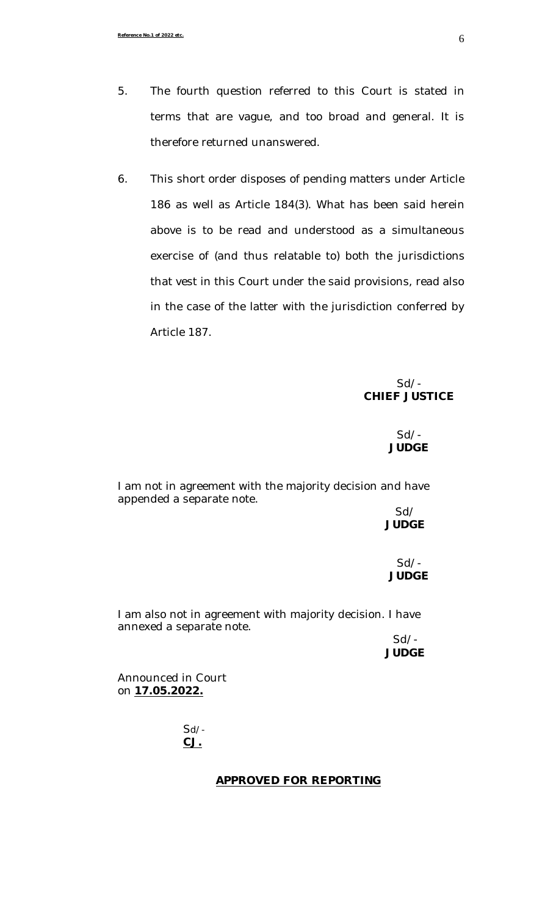- 5. The fourth question referred to this Court is stated in terms that are vague, and too broad and general. It is therefore returned unanswered.
- 6. This short order disposes of pending matters under Article 186 as well as Article 184(3). What has been said herein above is to be read and understood as a simultaneous exercise of (and thus relatable to) both the jurisdictions that vest in this Court under the said provisions, read also in the case of the latter with the jurisdiction conferred by Article 187.

# Sd/- **CHIEF JUSTICE**

# Sd/- **JUDGE**

I am not in agreement with the majority decision and have appended a separate note.

## Sd/ **JUDGE**

Sd/- **JUDGE**

I am also not in agreement with majority decision. I have annexed a separate note.

 $Sd$  /-**JUDGE**

Announced in Court on **17.05.2022.**

> Sd/- **CJ.**

## **APPROVED FOR REPORTING**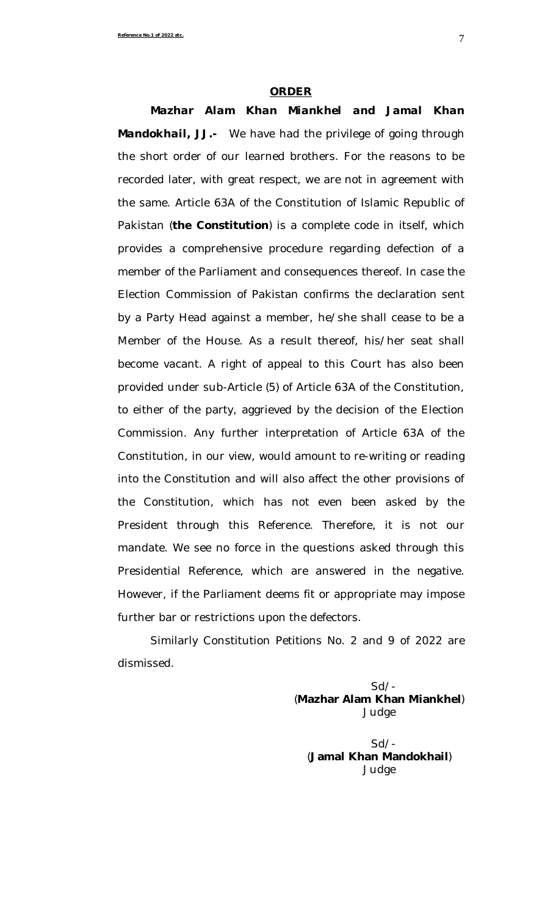#### **ORDER**

*Mazhar Alam Khan Miankhel and Jamal Khan Mandokhail, JJ.-* We have had the privilege of going through the short order of our learned brothers. For the reasons to be recorded later, with great respect, we are not in agreement with the same. Article 63A of the Constitution of Islamic Republic of Pakistan (**the Constitution**) is a complete code in itself, which provides a comprehensive procedure regarding defection of a member of the Parliament and consequences thereof. In case the Election Commission of Pakistan confirms the declaration sent by a Party Head against a member, he/she shall cease to be a Member of the House. As a result thereof, his/her seat shall become vacant. A right of appeal to this Court has also been provided under sub-Article (5) of Article 63A of the Constitution, to either of the party, aggrieved by the decision of the Election Commission. Any further interpretation of Article 63A of the Constitution, in our view, would amount to re-writing or reading into the Constitution and will also affect the other provisions of the Constitution, which has not even been asked by the President through this Reference. Therefore, it is not our mandate. We see no force in the questions asked through this Presidential Reference, which are answered in the negative. However, if the Parliament deems fit or appropriate may impose further bar or restrictions upon the defectors.

Similarly Constitution Petitions No. 2 and 9 of 2022 are dismissed.

> Sd/- (**Mazhar Alam Khan Miankhel**) Judge

 Sd/- (**Jamal Khan Mandokhail**) Judge